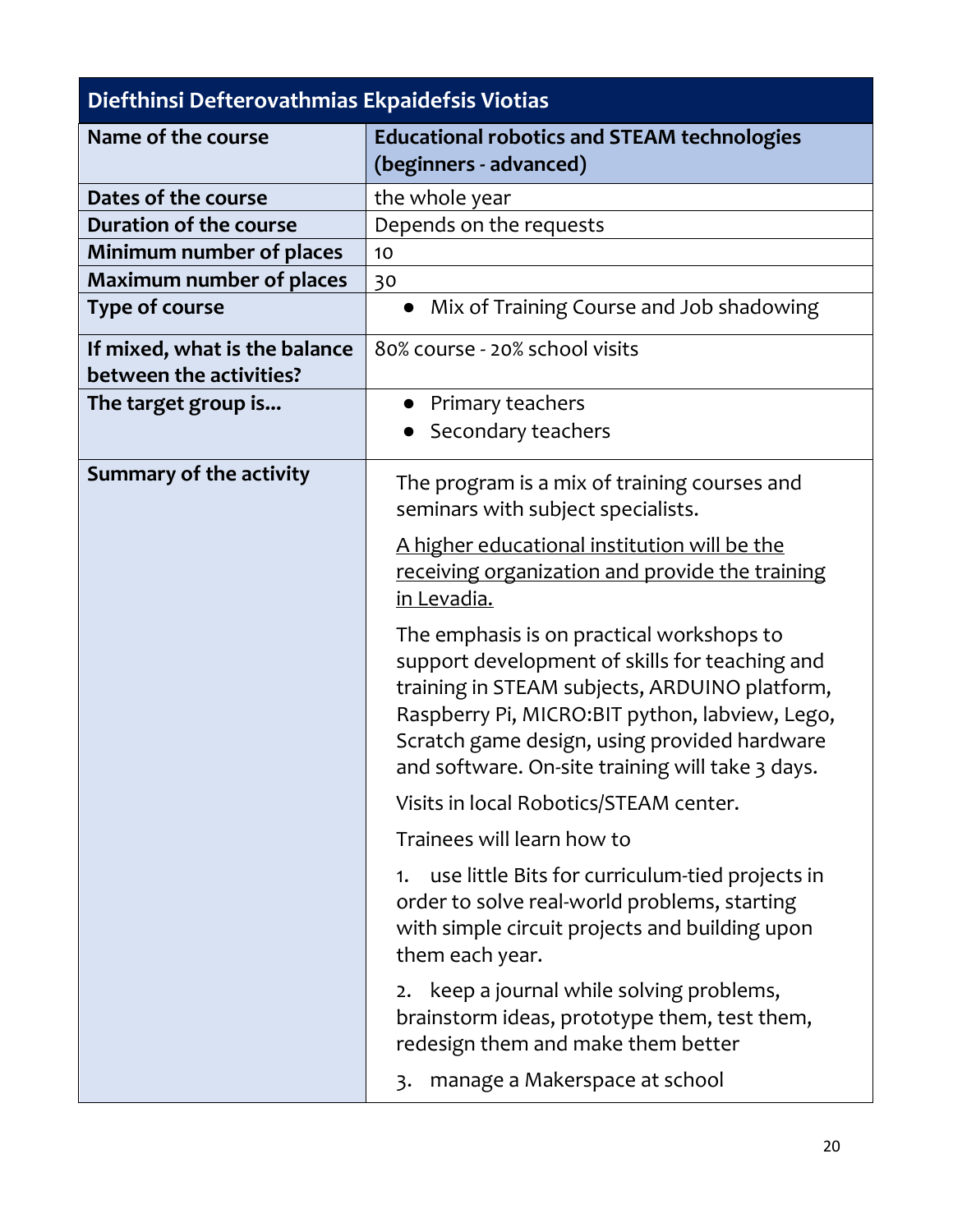| Diefthinsi Defterovathmias Ekpaidefsis Viotias |                                                                                                                                                                                                                                                                                                    |  |
|------------------------------------------------|----------------------------------------------------------------------------------------------------------------------------------------------------------------------------------------------------------------------------------------------------------------------------------------------------|--|
| Name of the course                             | <b>Educational robotics and STEAM technologies</b><br>(beginners - advanced)                                                                                                                                                                                                                       |  |
| Dates of the course                            | the whole year                                                                                                                                                                                                                                                                                     |  |
| Duration of the course                         | Depends on the requests                                                                                                                                                                                                                                                                            |  |
| Minimum number of places                       | 10                                                                                                                                                                                                                                                                                                 |  |
| <b>Maximum number of places</b>                | 30                                                                                                                                                                                                                                                                                                 |  |
| <b>Type of course</b>                          | • Mix of Training Course and Job shadowing                                                                                                                                                                                                                                                         |  |
| If mixed, what is the balance                  | 80% course - 20% school visits                                                                                                                                                                                                                                                                     |  |
| between the activities?                        |                                                                                                                                                                                                                                                                                                    |  |
| The target group is                            | Primary teachers                                                                                                                                                                                                                                                                                   |  |
|                                                | Secondary teachers                                                                                                                                                                                                                                                                                 |  |
| <b>Summary of the activity</b>                 | The program is a mix of training courses and<br>seminars with subject specialists.                                                                                                                                                                                                                 |  |
|                                                | A higher educational institution will be the<br>receiving organization and provide the training<br>in Levadia.                                                                                                                                                                                     |  |
|                                                | The emphasis is on practical workshops to<br>support development of skills for teaching and<br>training in STEAM subjects, ARDUINO platform,<br>Raspberry Pi, MICRO:BIT python, labview, Lego,<br>Scratch game design, using provided hardware<br>and software. On-site training will take 3 days. |  |
|                                                | Visits in local Robotics/STEAM center.                                                                                                                                                                                                                                                             |  |
|                                                | Trainees will learn how to                                                                                                                                                                                                                                                                         |  |
|                                                | use little Bits for curriculum-tied projects in<br>1.<br>order to solve real-world problems, starting<br>with simple circuit projects and building upon<br>them each year.                                                                                                                         |  |
|                                                | keep a journal while solving problems,<br>2.<br>brainstorm ideas, prototype them, test them,<br>redesign them and make them better                                                                                                                                                                 |  |
|                                                | manage a Makerspace at school<br>$\overline{3}$ .                                                                                                                                                                                                                                                  |  |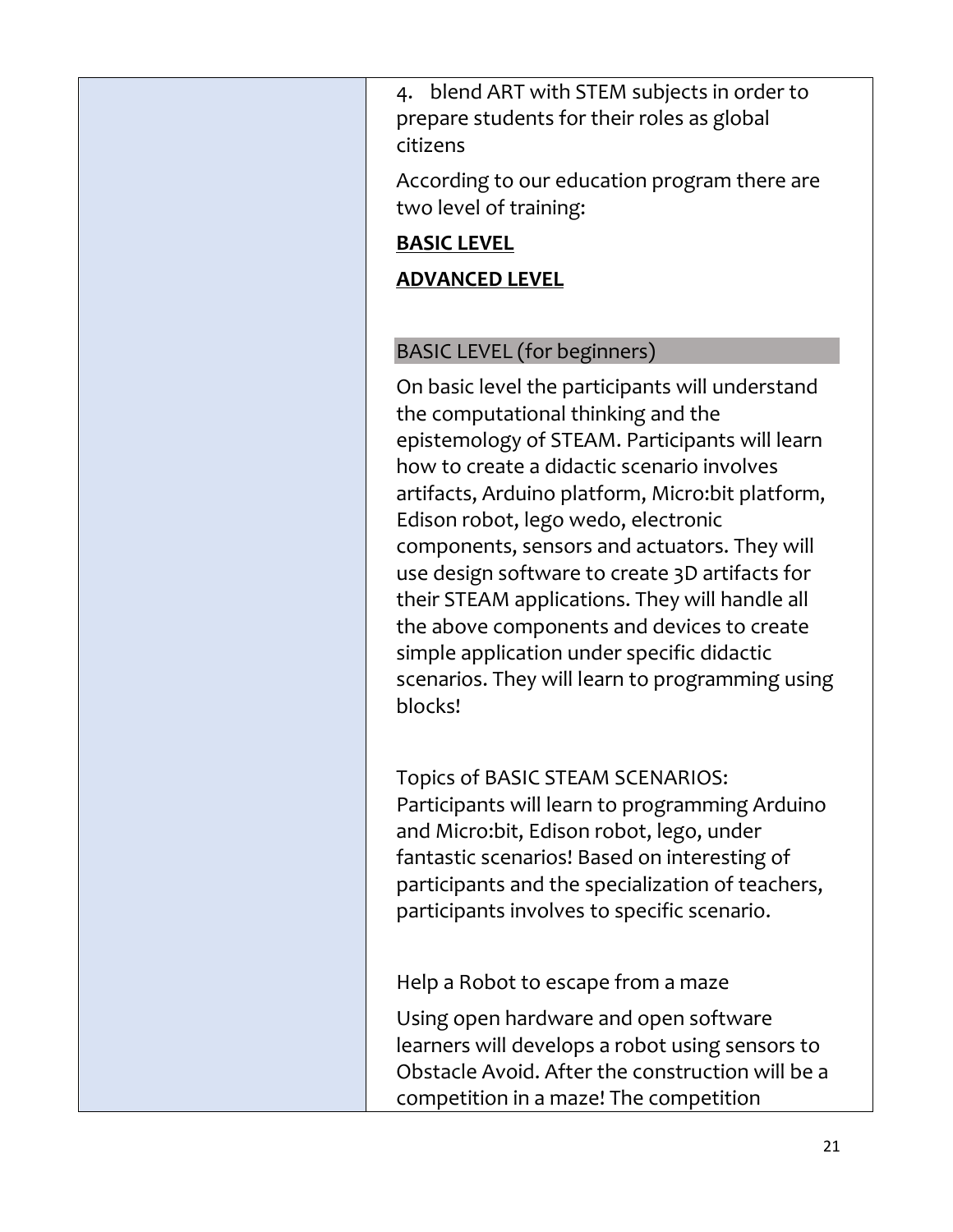4. blend ART with STEM subjects in order to prepare students for their roles as global citizens

According to our education program there are two level of training:

#### **BASIC LEVEL**

## **ADVANCED LEVEL**

# BASIC LEVEL (for beginners)

On basic level the participants will understand the computational thinking and the epistemology of STEAM. Participants will learn how to create a didactic scenario involves artifacts, Arduino platform, Micro:bit platform, Edison robot, lego wedo, electronic components, sensors and actuators. They will use design software to create 3D artifacts for their STEAM applications. They will handle all the above components and devices to create simple application under specific didactic scenarios. They will learn to programming using blocks!

Topics of BASIC STEAM SCENARIOS: Participants will learn to programming Arduino and Micro:bit, Edison robot, lego, under fantastic scenarios! Based on interesting of participants and the specialization of teachers, participants involves to specific scenario.

Help a Robot to escape from a maze

Using open hardware and open software learners will develops a robot using sensors to Obstacle Avoid. After the construction will be a competition in a maze! The competition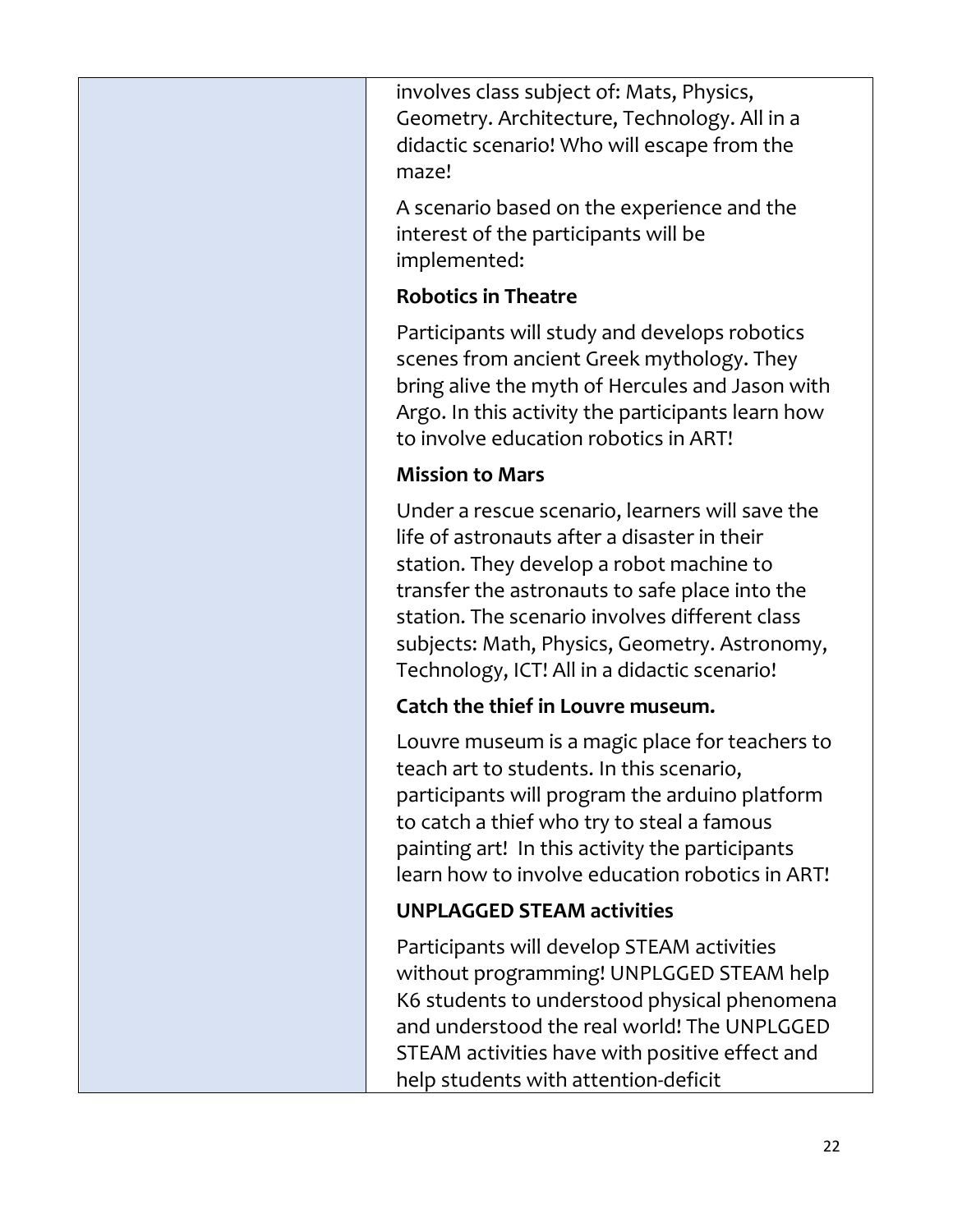involves class subject of: Mats, Physics, Geometry. Architecture, Technology. All in a didactic scenario! Who will escape from the maze!

A scenario based on the experience and the interest of the participants will be implemented:

#### **Robotics in Theatre**

Participants will study and develops robotics scenes from ancient Greek mythology. They bring alive the myth of Hercules and Jason with Argo. In this activity the participants learn how to involve education robotics in ART!

### **Mission to Mars**

Under a rescue scenario, learners will save the life of astronauts after a disaster in their station. They develop a robot machine to transfer the astronauts to safe place into the station. The scenario involves different class subjects: Math, Physics, Geometry. Astronomy, Technology, ICT! All in a didactic scenario!

### **Catch the thief in Louvre museum.**

Louvre museum is a magic place for teachers to teach art to students. In this scenario, participants will program the arduino platform to catch a thief who try to steal a famous painting art! In this activity the participants learn how to involve education robotics in ART!

### **UNPLAGGED STEAM activities**

Participants will develop STEAM activities without programming! UNPLGGED STEAM help K6 students to understood physical phenomena and understood the real world! The UNPLGGED STEAM activities have with positive effect and help students with attention-deficit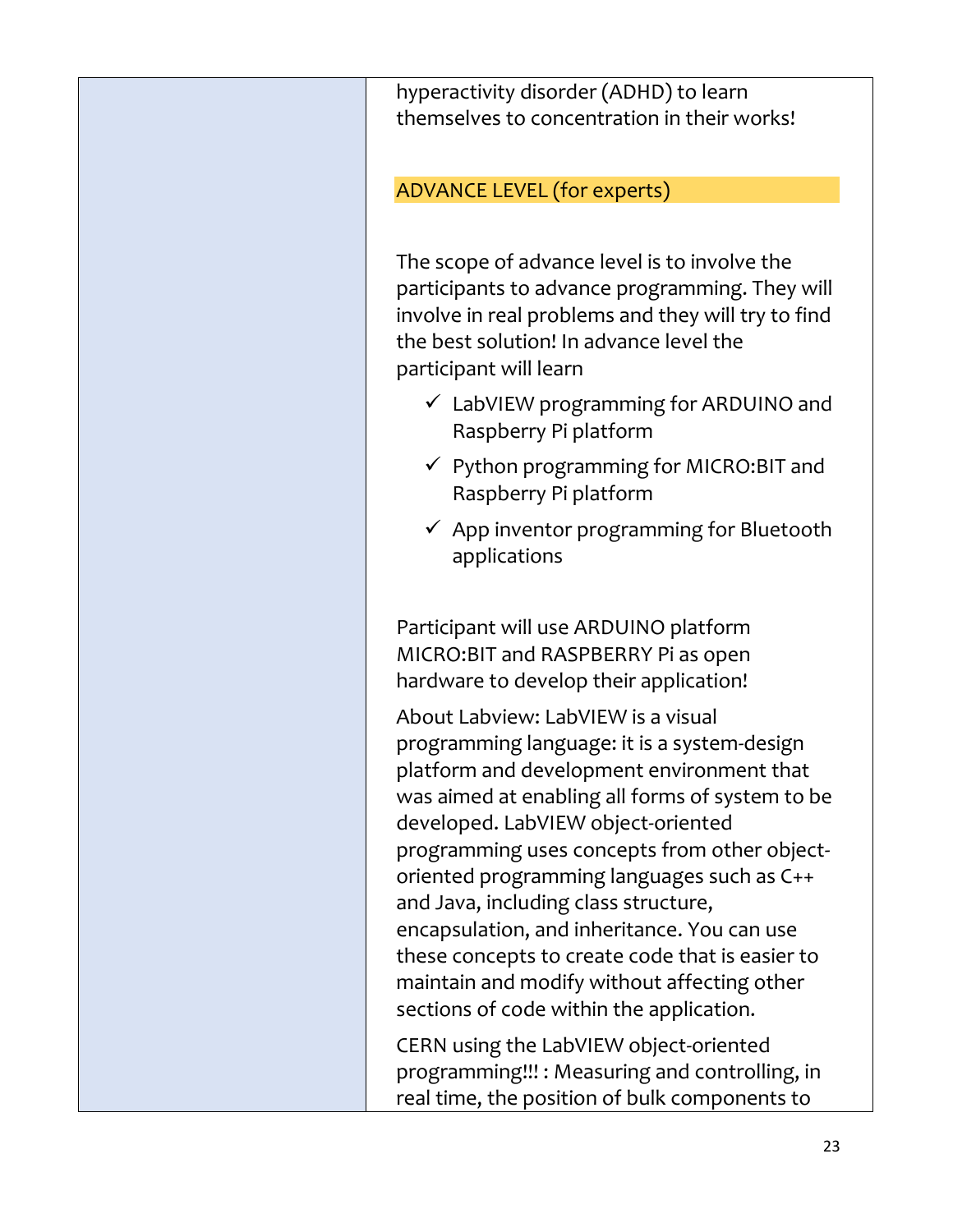hyperactivity disorder (ADHD) to learn themselves to concentration in their works!

ADVANCE LEVEL (for experts)

The scope of advance level is to involve the participants to advance programming. They will involve in real problems and they will try to find the best solution! In advance level the participant will learn

- $\checkmark$  LabVIEW programming for ARDUINO and Raspberry Pi platform
- ✓ Python programming for MICRO:BIT and Raspberry Pi platform
- $\checkmark$  App inventor programming for Bluetooth applications

Participant will use ARDUINO platform MICRO:BIT and RASPBERRY Pi as open hardware to develop their application!

About Labview: LabVIEW is a visual programming language: it is a system-design platform and development environment that was aimed at enabling all forms of system to be developed. LabVIEW object-oriented programming uses concepts from other objectoriented programming languages such as C++ and Java, including class structure, encapsulation, and inheritance. You can use these concepts to create code that is easier to maintain and modify without affecting other sections of code within the application.

CERN using the LabVIEW object-oriented programming!!! : Measuring and controlling, in real time, the position of bulk components to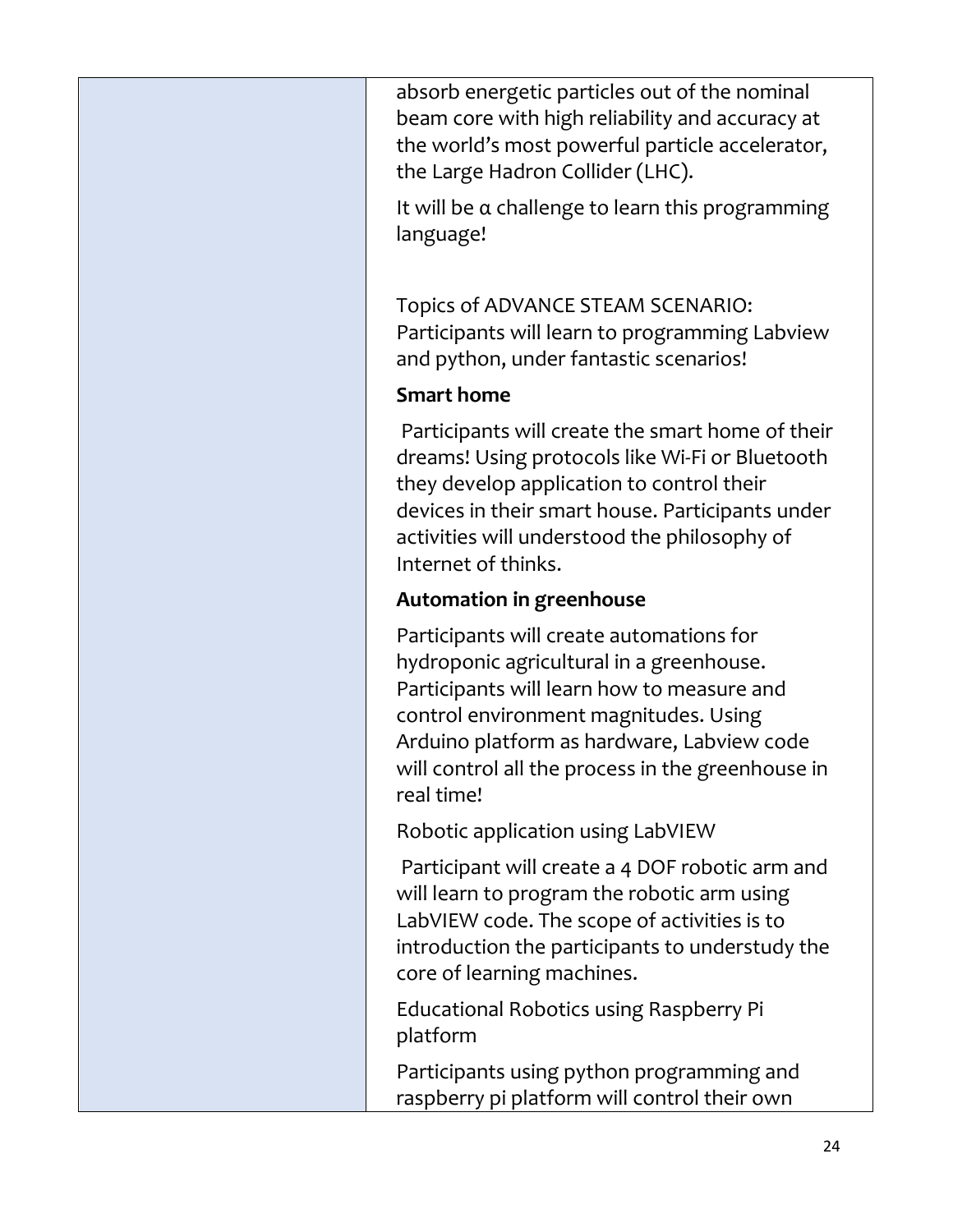absorb energetic particles out of the nominal beam core with high reliability and accuracy at the world's most powerful particle accelerator, the Large Hadron Collider (LHC).

It will be α challenge to learn this programming language!

Topics of ADVANCE STEAM SCENARIO: Participants will learn to programming Labview and python, under fantastic scenarios!

### **Smart home**

Participants will create the smart home of their dreams! Using protocols like Wi-Fi or Bluetooth they develop application to control their devices in their smart house. Participants under activities will understood the philosophy of Internet of thinks.

# **Automation in greenhouse**

Participants will create automations for hydroponic agricultural in a greenhouse. Participants will learn how to measure and control environment magnitudes. Using Arduino platform as hardware, Labview code will control all the process in the greenhouse in real time!

Robotic application using LabVIEW

Participant will create a 4 DOF robotic arm and will learn to program the robotic arm using LabVIEW code. The scope of activities is to introduction the participants to understudy the core of learning machines.

Educational Robotics using Raspberry Pi platform

Participants using python programming and raspberry pi platform will control their own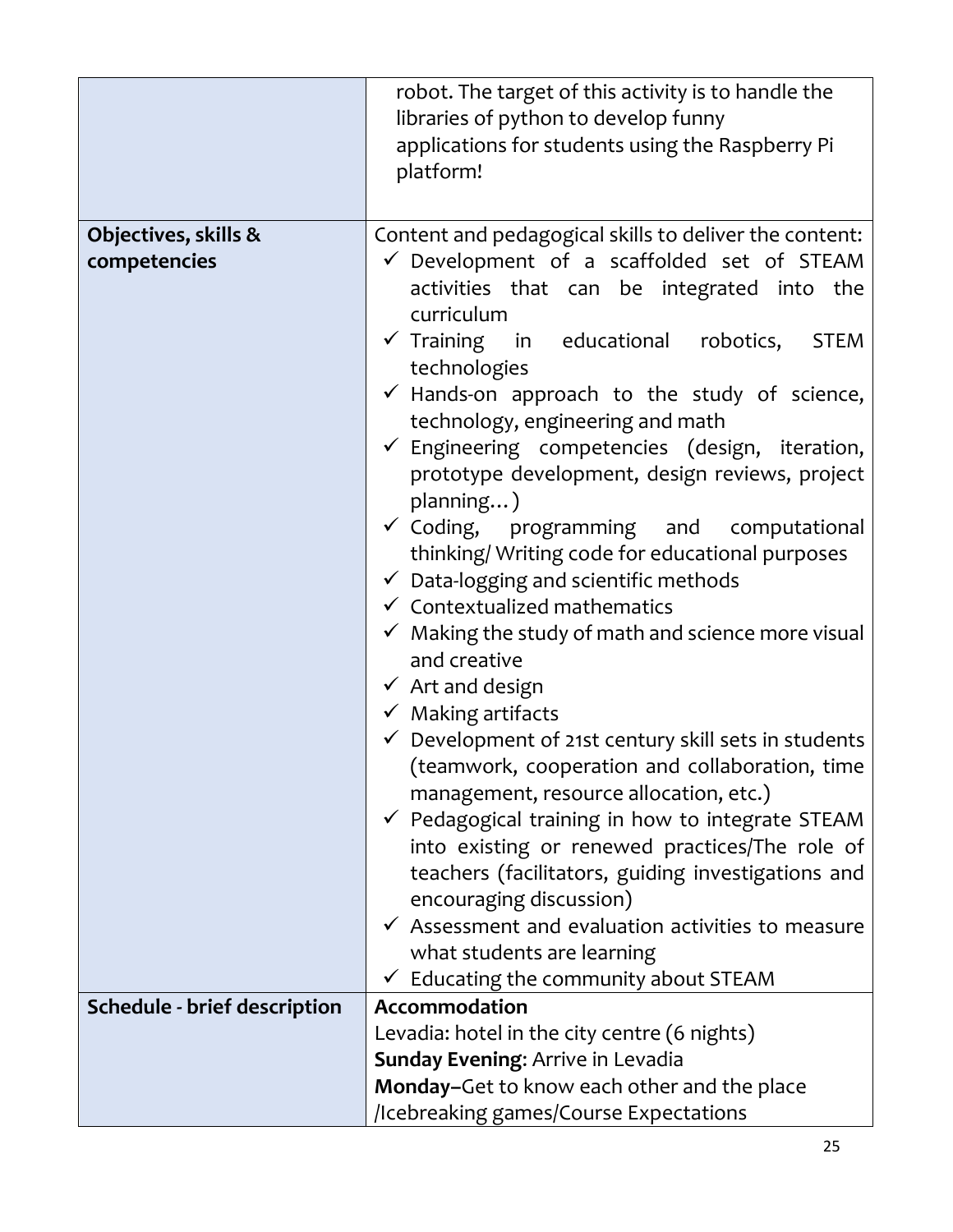| robot. The target of this activity is to handle the                                         |
|---------------------------------------------------------------------------------------------|
| libraries of python to develop funny                                                        |
| applications for students using the Raspberry Pi                                            |
| platform!                                                                                   |
|                                                                                             |
| Content and pedagogical skills to deliver the content:                                      |
| $\checkmark$ Development of a scaffolded set of STEAM                                       |
| activities that can be integrated into the                                                  |
| curriculum                                                                                  |
| $\checkmark$ Training in educational robotics,<br><b>STEM</b>                               |
| technologies                                                                                |
| $\checkmark$ Hands-on approach to the study of science,                                     |
| technology, engineering and math                                                            |
| $\checkmark$ Engineering competencies (design, iteration,                                   |
| prototype development, design reviews, project                                              |
| planning)                                                                                   |
| $\checkmark$ Coding, programming and computational                                          |
| thinking/ Writing code for educational purposes                                             |
| $\checkmark$ Data-logging and scientific methods<br>$\checkmark$ Contextualized mathematics |
|                                                                                             |
| $\checkmark$ Making the study of math and science more visual<br>and creative               |
| $\checkmark$ Art and design                                                                 |
|                                                                                             |
| $\checkmark$ Making artifacts                                                               |
| $\checkmark$ Development of 21st century skill sets in students                             |
| (teamwork, cooperation and collaboration, time<br>management, resource allocation, etc.)    |
| $\checkmark$ Pedagogical training in how to integrate STEAM                                 |
| into existing or renewed practices/The role of                                              |
| teachers (facilitators, guiding investigations and                                          |
| encouraging discussion)                                                                     |
| $\checkmark$ Assessment and evaluation activities to measure                                |
| what students are learning                                                                  |
| $\checkmark$ Educating the community about STEAM                                            |
| Accommodation                                                                               |
| Levadia: hotel in the city centre (6 nights)                                                |
| <b>Sunday Evening: Arrive in Levadia</b>                                                    |
| Monday-Get to know each other and the place                                                 |
| /Icebreaking games/Course Expectations                                                      |
|                                                                                             |